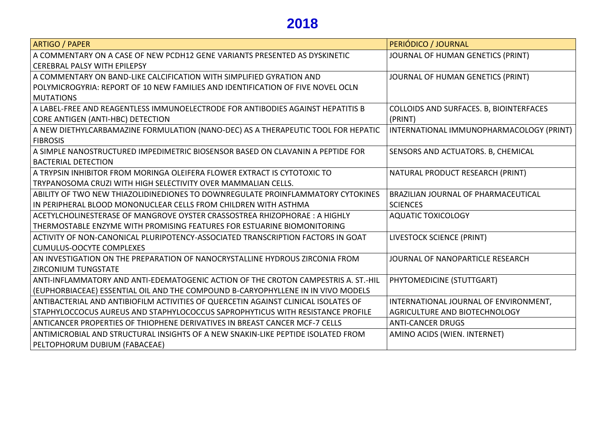## **2018**

| <b>ARTIGO / PAPER</b>                                                              | PERIÓDICO / JOURNAL                      |
|------------------------------------------------------------------------------------|------------------------------------------|
| A COMMENTARY ON A CASE OF NEW PCDH12 GENE VARIANTS PRESENTED AS DYSKINETIC         | JOURNAL OF HUMAN GENETICS (PRINT)        |
| <b>CEREBRAL PALSY WITH EPILEPSY</b>                                                |                                          |
| A COMMENTARY ON BAND-LIKE CALCIFICATION WITH SIMPLIFIED GYRATION AND               | JOURNAL OF HUMAN GENETICS (PRINT)        |
| POLYMICROGYRIA: REPORT OF 10 NEW FAMILIES AND IDENTIFICATION OF FIVE NOVEL OCLN    |                                          |
| <b>MUTATIONS</b>                                                                   |                                          |
| A LABEL-FREE AND REAGENTLESS IMMUNOELECTRODE FOR ANTIBODIES AGAINST HEPATITIS B    | COLLOIDS AND SURFACES. B, BIOINTERFACES  |
| CORE ANTIGEN (ANTI-HBC) DETECTION                                                  | (PRINT)                                  |
| A NEW DIETHYLCARBAMAZINE FORMULATION (NANO-DEC) AS A THERAPEUTIC TOOL FOR HEPATIC  | INTERNATIONAL IMMUNOPHARMACOLOGY (PRINT) |
| <b>FIBROSIS</b>                                                                    |                                          |
| A SIMPLE NANOSTRUCTURED IMPEDIMETRIC BIOSENSOR BASED ON CLAVANIN A PEPTIDE FOR     | SENSORS AND ACTUATORS. B, CHEMICAL       |
| <b>BACTERIAL DETECTION</b>                                                         |                                          |
| A TRYPSIN INHIBITOR FROM MORINGA OLEIFERA FLOWER EXTRACT IS CYTOTOXIC TO           | NATURAL PRODUCT RESEARCH (PRINT)         |
| TRYPANOSOMA CRUZI WITH HIGH SELECTIVITY OVER MAMMALIAN CELLS.                      |                                          |
| ABILITY OF TWO NEW THIAZOLIDINEDIONES TO DOWNREGULATE PROINFLAMMATORY CYTOKINES    | BRAZILIAN JOURNAL OF PHARMACEUTICAL      |
| IN PERIPHERAL BLOOD MONONUCLEAR CELLS FROM CHILDREN WITH ASTHMA                    | <b>SCIENCES</b>                          |
| ACETYLCHOLINESTERASE OF MANGROVE OYSTER CRASSOSTREA RHIZOPHORAE: A HIGHLY          | <b>AQUATIC TOXICOLOGY</b>                |
| THERMOSTABLE ENZYME WITH PROMISING FEATURES FOR ESTUARINE BIOMONITORING            |                                          |
| ACTIVITY OF NON-CANONICAL PLURIPOTENCY-ASSOCIATED TRANSCRIPTION FACTORS IN GOAT    | LIVESTOCK SCIENCE (PRINT)                |
| <b>CUMULUS-OOCYTE COMPLEXES</b>                                                    |                                          |
| AN INVESTIGATION ON THE PREPARATION OF NANOCRYSTALLINE HYDROUS ZIRCONIA FROM       | JOURNAL OF NANOPARTICLE RESEARCH         |
| <b>ZIRCONIUM TUNGSTATE</b>                                                         |                                          |
| ANTI-INFLAMMATORY AND ANTI-EDEMATOGENIC ACTION OF THE CROTON CAMPESTRIS A. ST.-HIL | PHYTOMEDICINE (STUTTGART)                |
| (EUPHORBIACEAE) ESSENTIAL OIL AND THE COMPOUND B-CARYOPHYLLENE IN IN VIVO MODELS   |                                          |
| ANTIBACTERIAL AND ANTIBIOFILM ACTIVITIES OF QUERCETIN AGAINST CLINICAL ISOLATES OF | INTERNATIONAL JOURNAL OF ENVIRONMENT,    |
| STAPHYLOCCOCUS AUREUS AND STAPHYLOCOCCUS SAPROPHYTICUS WITH RESISTANCE PROFILE     | AGRICULTURE AND BIOTECHNOLOGY            |
| ANTICANCER PROPERTIES OF THIOPHENE DERIVATIVES IN BREAST CANCER MCF-7 CELLS        | <b>ANTI-CANCER DRUGS</b>                 |
| ANTIMICROBIAL AND STRUCTURAL INSIGHTS OF A NEW SNAKIN-LIKE PEPTIDE ISOLATED FROM   | AMINO ACIDS (WIEN. INTERNET)             |
| PELTOPHORUM DUBIUM (FABACEAE)                                                      |                                          |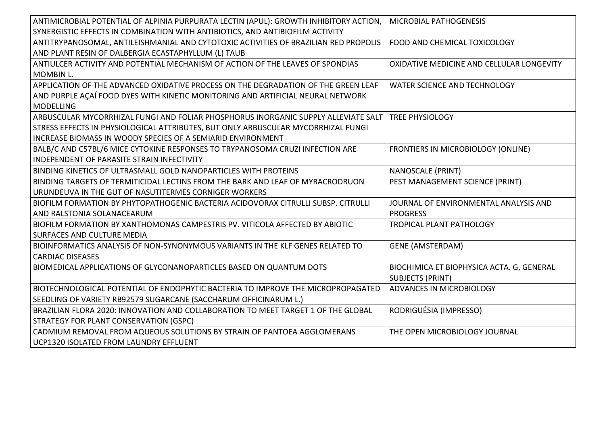| ANTIMICROBIAL POTENTIAL OF ALPINIA PURPURATA LECTIN (APUL): GROWTH INHIBITORY ACTION, | <b>MICROBIAL PATHOGENESIS</b>             |
|---------------------------------------------------------------------------------------|-------------------------------------------|
| SYNERGISTIC EFFECTS IN COMBINATION WITH ANTIBIOTICS, AND ANTIBIOFILM ACTIVITY         |                                           |
| ANTITRYPANOSOMAL, ANTILEISHMANIAL AND CYTOTOXIC ACTIVITIES OF BRAZILIAN RED PROPOLIS  | FOOD AND CHEMICAL TOXICOLOGY              |
| AND PLANT RESIN OF DALBERGIA ECASTAPHYLLUM (L) TAUB                                   |                                           |
| ANTIULCER ACTIVITY AND POTENTIAL MECHANISM OF ACTION OF THE LEAVES OF SPONDIAS        | OXIDATIVE MEDICINE AND CELLULAR LONGEVITY |
| <b>MOMBIN L.</b>                                                                      |                                           |
| APPLICATION OF THE ADVANCED OXIDATIVE PROCESS ON THE DEGRADATION OF THE GREEN LEAF    | <b>WATER SCIENCE AND TECHNOLOGY</b>       |
| AND PURPLE AÇAÍ FOOD DYES WITH KINETIC MONITORING AND ARTIFICIAL NEURAL NETWORK       |                                           |
| <b>MODELLING</b>                                                                      |                                           |
| ARBUSCULAR MYCORRHIZAL FUNGI AND FOLIAR PHOSPHORUS INORGANIC SUPPLY ALLEVIATE SALT    | <b>TREE PHYSIOLOGY</b>                    |
| STRESS EFFECTS IN PHYSIOLOGICAL ATTRIBUTES, BUT ONLY ARBUSCULAR MYCORRHIZAL FUNGI     |                                           |
| INCREASE BIOMASS IN WOODY SPECIES OF A SEMIARID ENVIRONMENT                           |                                           |
| BALB/C AND C57BL/6 MICE CYTOKINE RESPONSES TO TRYPANOSOMA CRUZI INFECTION ARE         | FRONTIERS IN MICROBIOLOGY (ONLINE)        |
| <b>INDEPENDENT OF PARASITE STRAIN INFECTIVITY</b>                                     |                                           |
| BINDING KINETICS OF ULTRASMALL GOLD NANOPARTICLES WITH PROTEINS                       | <b>NANOSCALE (PRINT)</b>                  |
| BINDING TARGETS OF TERMITICIDAL LECTINS FROM THE BARK AND LEAF OF MYRACRODRUON        | PEST MANAGEMENT SCIENCE (PRINT)           |
| URUNDEUVA IN THE GUT OF NASUTITERMES CORNIGER WORKERS                                 |                                           |
| BIOFILM FORMATION BY PHYTOPATHOGENIC BACTERIA ACIDOVORAX CITRULLI SUBSP. CITRULLI     | JOURNAL OF ENVIRONMENTAL ANALYSIS AND     |
| AND RALSTONIA SOLANACEARUM                                                            | <b>PROGRESS</b>                           |
| BIOFILM FORMATION BY XANTHOMONAS CAMPESTRIS PV. VITICOLA AFFECTED BY ABIOTIC          | TROPICAL PLANT PATHOLOGY                  |
| <b>SURFACES AND CULTURE MEDIA</b>                                                     |                                           |
| BIOINFORMATICS ANALYSIS OF NON-SYNONYMOUS VARIANTS IN THE KLF GENES RELATED TO        | <b>GENE (AMSTERDAM)</b>                   |
| <b>CARDIAC DISEASES</b>                                                               |                                           |
| BIOMEDICAL APPLICATIONS OF GLYCONANOPARTICLES BASED ON QUANTUM DOTS                   | BIOCHIMICA ET BIOPHYSICA ACTA. G, GENERAL |
|                                                                                       | <b>SUBJECTS (PRINT)</b>                   |
| BIOTECHNOLOGICAL POTENTIAL OF ENDOPHYTIC BACTERIA TO IMPROVE THE MICROPROPAGATED      | ADVANCES IN MICROBIOLOGY                  |
| SEEDLING OF VARIETY RB92579 SUGARCANE (SACCHARUM OFFICINARUM L.)                      |                                           |
| BRAZILIAN FLORA 2020: INNOVATION AND COLLABORATION TO MEET TARGET 1 OF THE GLOBAL     | RODRIGUÉSIA (IMPRESSO)                    |
| <b>STRATEGY FOR PLANT CONSERVATION (GSPC)</b>                                         |                                           |
| CADMIUM REMOVAL FROM AQUEOUS SOLUTIONS BY STRAIN OF PANTOEA AGGLOMERANS               | THE OPEN MICROBIOLOGY JOURNAL             |
| UCP1320 ISOLATED FROM LAUNDRY EFFLUENT                                                |                                           |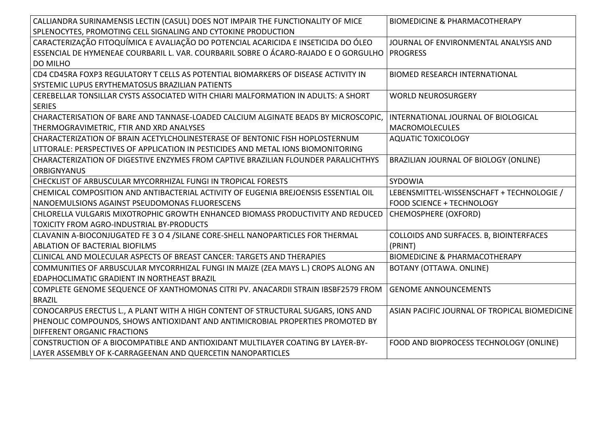| CALLIANDRA SURINAMENSIS LECTIN (CASUL) DOES NOT IMPAIR THE FUNCTIONALITY OF MICE    | <b>BIOMEDICINE &amp; PHARMACOTHERAPY</b>      |
|-------------------------------------------------------------------------------------|-----------------------------------------------|
| SPLENOCYTES, PROMOTING CELL SIGNALING AND CYTOKINE PRODUCTION                       |                                               |
| CARACTERIZAÇÃO FITOQUÍMICA E AVALIAÇÃO DO POTENCIAL ACARICIDA E INSETICIDA DO ÓLEO  | JOURNAL OF ENVIRONMENTAL ANALYSIS AND         |
| ESSENCIAL DE HYMENEAE COURBARIL L. VAR. COURBARIL SOBRE O ÁCARO-RAJADO E O GORGULHO | <b>PROGRESS</b>                               |
| <b>DO MILHO</b>                                                                     |                                               |
| CD4 CD45RA FOXP3 REGULATORY T CELLS AS POTENTIAL BIOMARKERS OF DISEASE ACTIVITY IN  | <b>BIOMED RESEARCH INTERNATIONAL</b>          |
| SYSTEMIC LUPUS ERYTHEMATOSUS BRAZILIAN PATIENTS                                     |                                               |
| CEREBELLAR TONSILLAR CYSTS ASSOCIATED WITH CHIARI MALFORMATION IN ADULTS: A SHORT   | <b>WORLD NEUROSURGERY</b>                     |
| <b>SERIES</b>                                                                       |                                               |
| CHARACTERISATION OF BARE AND TANNASE-LOADED CALCIUM ALGINATE BEADS BY MICROSCOPIC,  | INTERNATIONAL JOURNAL OF BIOLOGICAL           |
| THERMOGRAVIMETRIC, FTIR AND XRD ANALYSES                                            | MACROMOLECULES                                |
| CHARACTERIZATION OF BRAIN ACETYLCHOLINESTERASE OF BENTONIC FISH HOPLOSTERNUM        | <b>AQUATIC TOXICOLOGY</b>                     |
| LITTORALE: PERSPECTIVES OF APPLICATION IN PESTICIDES AND METAL IONS BIOMONITORING   |                                               |
| CHARACTERIZATION OF DIGESTIVE ENZYMES FROM CAPTIVE BRAZILIAN FLOUNDER PARALICHTHYS  | BRAZILIAN JOURNAL OF BIOLOGY (ONLINE)         |
| <b>ORBIGNYANUS</b>                                                                  |                                               |
| CHECKLIST OF ARBUSCULAR MYCORRHIZAL FUNGI IN TROPICAL FORESTS                       | SYDOWIA                                       |
| CHEMICAL COMPOSITION AND ANTIBACTERIAL ACTIVITY OF EUGENIA BREJOENSIS ESSENTIAL OIL | LEBENSMITTEL-WISSENSCHAFT + TECHNOLOGIE /     |
| NANOEMULSIONS AGAINST PSEUDOMONAS FLUORESCENS                                       | FOOD SCIENCE + TECHNOLOGY                     |
| CHLORELLA VULGARIS MIXOTROPHIC GROWTH ENHANCED BIOMASS PRODUCTIVITY AND REDUCED     | CHEMOSPHERE (OXFORD)                          |
| TOXICITY FROM AGRO-INDUSTRIAL BY-PRODUCTS                                           |                                               |
| CLAVANIN A-BIOCONJUGATED FE 3 O 4 / SILANE CORE-SHELL NANOPARTICLES FOR THERMAL     | COLLOIDS AND SURFACES. B, BIOINTERFACES       |
| ABLATION OF BACTERIAL BIOFILMS                                                      | (PRINT)                                       |
| CLINICAL AND MOLECULAR ASPECTS OF BREAST CANCER: TARGETS AND THERAPIES              | <b>BIOMEDICINE &amp; PHARMACOTHERAPY</b>      |
| COMMUNITIES OF ARBUSCULAR MYCORRHIZAL FUNGI IN MAIZE (ZEA MAYS L.) CROPS ALONG AN   | BOTANY (OTTAWA. ONLINE)                       |
| <b>EDAPHOCLIMATIC GRADIENT IN NORTHEAST BRAZIL</b>                                  |                                               |
| COMPLETE GENOME SEQUENCE OF XANTHOMONAS CITRI PV. ANACARDII STRAIN IBSBF2579 FROM   | <b>GENOME ANNOUNCEMENTS</b>                   |
| <b>BRAZIL</b>                                                                       |                                               |
| CONOCARPUS ERECTUS L., A PLANT WITH A HIGH CONTENT OF STRUCTURAL SUGARS, IONS AND   | ASIAN PACIFIC JOURNAL OF TROPICAL BIOMEDICINE |
| PHENOLIC COMPOUNDS, SHOWS ANTIOXIDANT AND ANTIMICROBIAL PROPERTIES PROMOTED BY      |                                               |
| <b>DIFFERENT ORGANIC FRACTIONS</b>                                                  |                                               |
| CONSTRUCTION OF A BIOCOMPATIBLE AND ANTIOXIDANT MULTILAYER COATING BY LAYER-BY-     | FOOD AND BIOPROCESS TECHNOLOGY (ONLINE)       |
| LAYER ASSEMBLY OF K-CARRAGEENAN AND QUERCETIN NANOPARTICLES                         |                                               |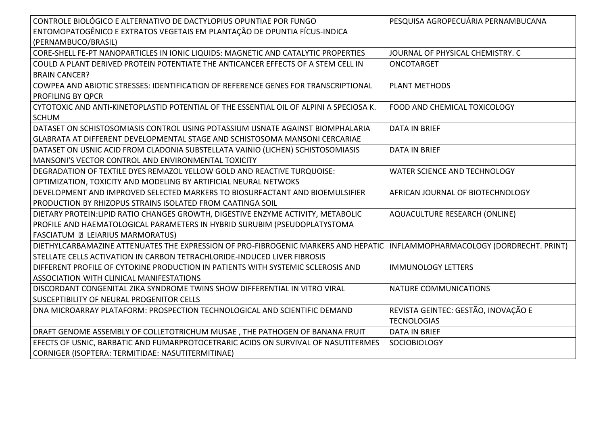| CONTROLE BIOLÓGICO E ALTERNATIVO DE DACTYLOPIUS OPUNTIAE POR FUNGO                      | PESQUISA AGROPECUÁRIA PERNAMBUCANA      |
|-----------------------------------------------------------------------------------------|-----------------------------------------|
| ENTOMOPATOGÊNICO E EXTRATOS VEGETAIS EM PLANTAÇÃO DE OPUNTIA FÍCUS-INDICA               |                                         |
| (PERNAMBUCO/BRASIL)                                                                     |                                         |
| CORE-SHELL FE-PT NANOPARTICLES IN IONIC LIQUIDS: MAGNETIC AND CATALYTIC PROPERTIES      | JOURNAL OF PHYSICAL CHEMISTRY, C        |
| COULD A PLANT DERIVED PROTEIN POTENTIATE THE ANTICANCER EFFECTS OF A STEM CELL IN       | ONCOTARGET                              |
| <b>BRAIN CANCER?</b>                                                                    |                                         |
| COWPEA AND ABIOTIC STRESSES: IDENTIFICATION OF REFERENCE GENES FOR TRANSCRIPTIONAL      | <b>PLANT METHODS</b>                    |
| PROFILING BY QPCR                                                                       |                                         |
| CYTOTOXIC AND ANTI-KINETOPLASTID POTENTIAL OF THE ESSENTIAL OIL OF ALPINI A SPECIOSA K. | FOOD AND CHEMICAL TOXICOLOGY            |
| <b>SCHUM</b>                                                                            |                                         |
| DATASET ON SCHISTOSOMIASIS CONTROL USING POTASSIUM USNATE AGAINST BIOMPHALARIA          | <b>DATA IN BRIEF</b>                    |
| GLABRATA AT DIFFERENT DEVELOPMENTAL STAGE AND SCHISTOSOMA MANSONI CERCARIAE             |                                         |
| DATASET ON USNIC ACID FROM CLADONIA SUBSTELLATA VAINIO (LICHEN) SCHISTOSOMIASIS         | <b>DATA IN BRIEF</b>                    |
| MANSONI'S VECTOR CONTROL AND ENVIRONMENTAL TOXICITY                                     |                                         |
| DEGRADATION OF TEXTILE DYES REMAZOL YELLOW GOLD AND REACTIVE TURQUOISE:                 | WATER SCIENCE AND TECHNOLOGY            |
| OPTIMIZATION, TOXICITY AND MODELING BY ARTIFICIAL NEURAL NETWOKS                        |                                         |
| DEVELOPMENT AND IMPROVED SELECTED MARKERS TO BIOSURFACTANT AND BIOEMULSIFIER            | AFRICAN JOURNAL OF BIOTECHNOLOGY        |
| PRODUCTION BY RHIZOPUS STRAINS ISOLATED FROM CAATINGA SOIL                              |                                         |
| DIETARY PROTEIN: LIPID RATIO CHANGES GROWTH, DIGESTIVE ENZYME ACTIVITY, METABOLIC       | <b>AQUACULTURE RESEARCH (ONLINE)</b>    |
| PROFILE AND HAEMATOLOGICAL PARAMETERS IN HYBRID SURUBIM (PSEUDOPLATYSTOMA               |                                         |
| <b>FASCIATUM - LEIARIUS MARMORATUS)</b>                                                 |                                         |
| DIETHYLCARBAMAZINE ATTENUATES THE EXPRESSION OF PRO-FIBROGENIC MARKERS AND HEPATIC      | INFLAMMOPHARMACOLOGY (DORDRECHT. PRINT) |
| STELLATE CELLS ACTIVATION IN CARBON TETRACHLORIDE-INDUCED LIVER FIBROSIS                |                                         |
| DIFFERENT PROFILE OF CYTOKINE PRODUCTION IN PATIENTS WITH SYSTEMIC SCLEROSIS AND        | <b>IMMUNOLOGY LETTERS</b>               |
| <b>ASSOCIATION WITH CLINICAL MANIFESTATIONS</b>                                         |                                         |
| DISCORDANT CONGENITAL ZIKA SYNDROME TWINS SHOW DIFFERENTIAL IN VITRO VIRAL              | <b>NATURE COMMUNICATIONS</b>            |
| SUSCEPTIBILITY OF NEURAL PROGENITOR CELLS                                               |                                         |
| DNA MICROARRAY PLATAFORM: PROSPECTION TECHNOLOGICAL AND SCIENTIFIC DEMAND               | REVISTA GEINTEC: GESTÃO, INOVAÇÃO E     |
|                                                                                         | <b>TECNOLOGIAS</b>                      |
| DRAFT GENOME ASSEMBLY OF COLLETOTRICHUM MUSAE, THE PATHOGEN OF BANANA FRUIT             | <b>DATA IN BRIEF</b>                    |
| EFECTS OF USNIC, BARBATIC AND FUMARPROTOCETRARIC ACIDS ON SURVIVAL OF NASUTITERMES      | <b>SOCIOBIOLOGY</b>                     |
| CORNIGER (ISOPTERA: TERMITIDAE: NASUTITERMITINAE)                                       |                                         |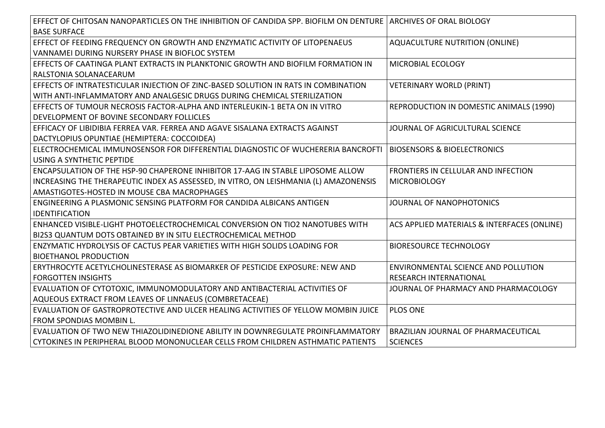| EFFECT OF CHITOSAN NANOPARTICLES ON THE INHIBITION OF CANDIDA SPP. BIOFILM ON DENTURE   ARCHIVES OF ORAL BIOLOGY |                                             |
|------------------------------------------------------------------------------------------------------------------|---------------------------------------------|
| <b>BASE SURFACE</b>                                                                                              |                                             |
| EFFECT OF FEEDING FREQUENCY ON GROWTH AND ENZYMATIC ACTIVITY OF LITOPENAEUS                                      | <b>AQUACULTURE NUTRITION (ONLINE)</b>       |
| VANNAMEI DURING NURSERY PHASE IN BIOFLOC SYSTEM                                                                  |                                             |
| EFFECTS OF CAATINGA PLANT EXTRACTS IN PLANKTONIC GROWTH AND BIOFILM FORMATION IN                                 | MICROBIAL ECOLOGY                           |
| RALSTONIA SOLANACEARUM                                                                                           |                                             |
| EFFECTS OF INTRATESTICULAR INJECTION OF ZINC-BASED SOLUTION IN RATS IN COMBINATION                               | <b>VETERINARY WORLD (PRINT)</b>             |
| WITH ANTI-INFLAMMATORY AND ANALGESIC DRUGS DURING CHEMICAL STERILIZATION                                         |                                             |
| EFFECTS OF TUMOUR NECROSIS FACTOR-ALPHA AND INTERLEUKIN-1 BETA ON IN VITRO                                       | REPRODUCTION IN DOMESTIC ANIMALS (1990)     |
| DEVELOPMENT OF BOVINE SECONDARY FOLLICLES                                                                        |                                             |
| EFFICACY OF LIBIDIBIA FERREA VAR. FERREA AND AGAVE SISALANA EXTRACTS AGAINST                                     | JOURNAL OF AGRICULTURAL SCIENCE             |
| DACTYLOPIUS OPUNTIAE (HEMIPTERA: COCCOIDEA)                                                                      |                                             |
| ELECTROCHEMICAL IMMUNOSENSOR FOR DIFFERENTIAL DIAGNOSTIC OF WUCHERERIA BANCROFTI   BIOSENSORS & BIOELECTRONICS   |                                             |
| USING A SYNTHETIC PEPTIDE                                                                                        |                                             |
| ENCAPSULATION OF THE HSP-90 CHAPERONE INHIBITOR 17-AAG IN STABLE LIPOSOME ALLOW                                  | FRONTIERS IN CELLULAR AND INFECTION         |
| INCREASING THE THERAPEUTIC INDEX AS ASSESSED, IN VITRO, ON LEISHMANIA (L) AMAZONENSIS                            | <b>MICROBIOLOGY</b>                         |
| AMASTIGOTES-HOSTED IN MOUSE CBA MACROPHAGES                                                                      |                                             |
| ENGINEERING A PLASMONIC SENSING PLATFORM FOR CANDIDA ALBICANS ANTIGEN                                            | JOURNAL OF NANOPHOTONICS                    |
| <b>IDENTIFICATION</b>                                                                                            |                                             |
| ENHANCED VISIBLE-LIGHT PHOTOELECTROCHEMICAL CONVERSION ON TIO2 NANOTUBES WITH                                    | ACS APPLIED MATERIALS & INTERFACES (ONLINE) |
| BI2S3 QUANTUM DOTS OBTAINED BY IN SITU ELECTROCHEMICAL METHOD                                                    |                                             |
| ENZYMATIC HYDROLYSIS OF CACTUS PEAR VARIETIES WITH HIGH SOLIDS LOADING FOR                                       | <b>BIORESOURCE TECHNOLOGY</b>               |
| <b>BIOETHANOL PRODUCTION</b>                                                                                     |                                             |
| ERYTHROCYTE ACETYLCHOLINESTERASE AS BIOMARKER OF PESTICIDE EXPOSURE: NEW AND                                     | ENVIRONMENTAL SCIENCE AND POLLUTION         |
| <b>FORGOTTEN INSIGHTS</b>                                                                                        | <b>RESEARCH INTERNATIONAL</b>               |
| EVALUATION OF CYTOTOXIC, IMMUNOMODULATORY AND ANTIBACTERIAL ACTIVITIES OF                                        | JOURNAL OF PHARMACY AND PHARMACOLOGY        |
| AQUEOUS EXTRACT FROM LEAVES OF LINNAEUS (COMBRETACEAE)                                                           |                                             |
| EVALUATION OF GASTROPROTECTIVE AND ULCER HEALING ACTIVITIES OF YELLOW MOMBIN JUICE                               | <b>PLOS ONE</b>                             |
| FROM SPONDIAS MOMBIN L.                                                                                          |                                             |
| EVALUATION OF TWO NEW THIAZOLIDINEDIONE ABILITY IN DOWNREGULATE PROINFLAMMATORY                                  | BRAZILIAN JOURNAL OF PHARMACEUTICAL         |
| CYTOKINES IN PERIPHERAL BLOOD MONONUCLEAR CELLS FROM CHILDREN ASTHMATIC PATIENTS                                 | <b>SCIENCES</b>                             |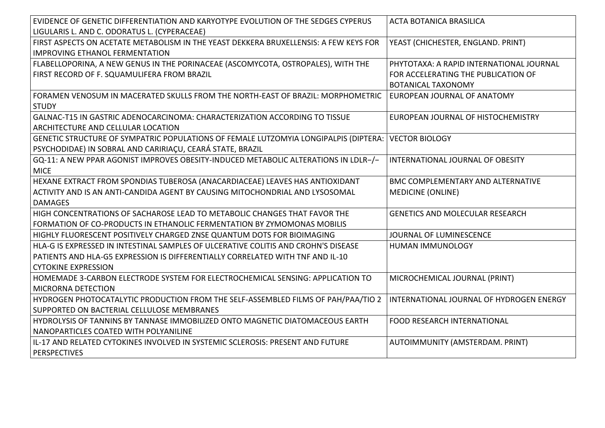| EVIDENCE OF GENETIC DIFFERENTIATION AND KARYOTYPE EVOLUTION OF THE SEDGES CYPERUS                   | <b>ACTA BOTANICA BRASILICA</b>           |
|-----------------------------------------------------------------------------------------------------|------------------------------------------|
| LIGULARIS L. AND C. ODORATUS L. (CYPERACEAE)                                                        |                                          |
| FIRST ASPECTS ON ACETATE METABOLISM IN THE YEAST DEKKERA BRUXELLENSIS: A FEW KEYS FOR               | YEAST (CHICHESTER, ENGLAND. PRINT)       |
| <b>IMPROVING ETHANOL FERMENTATION</b>                                                               |                                          |
| FLABELLOPORINA, A NEW GENUS IN THE PORINACEAE (ASCOMYCOTA, OSTROPALES), WITH THE                    | PHYTOTAXA: A RAPID INTERNATIONAL JOURNAL |
| FIRST RECORD OF F. SQUAMULIFERA FROM BRAZIL                                                         | FOR ACCELERATING THE PUBLICATION OF      |
|                                                                                                     | <b>BOTANICAL TAXONOMY</b>                |
| FORAMEN VENOSUM IN MACERATED SKULLS FROM THE NORTH-EAST OF BRAZIL: MORPHOMETRIC                     | EUROPEAN JOURNAL OF ANATOMY              |
| <b>STUDY</b>                                                                                        |                                          |
| GALNAC-T15 IN GASTRIC ADENOCARCINOMA: CHARACTERIZATION ACCORDING TO TISSUE                          | EUROPEAN JOURNAL OF HISTOCHEMISTRY       |
| ARCHITECTURE AND CELLULAR LOCATION                                                                  |                                          |
| GENETIC STRUCTURE OF SYMPATRIC POPULATIONS OF FEMALE LUTZOMYIA LONGIPALPIS (DIPTERA: VECTOR BIOLOGY |                                          |
| PSYCHODIDAE) IN SOBRAL AND CARIRIAÇU, CEARÁ STATE, BRAZIL                                           |                                          |
| GQ-11: A NEW PPAR AGONIST IMPROVES OBESITY-INDUCED METABOLIC ALTERATIONS IN LDLR-/-                 | INTERNATIONAL JOURNAL OF OBESITY         |
| <b>MICE</b>                                                                                         |                                          |
| HEXANE EXTRACT FROM SPONDIAS TUBEROSA (ANACARDIACEAE) LEAVES HAS ANTIOXIDANT                        | <b>BMC COMPLEMENTARY AND ALTERNATIVE</b> |
| ACTIVITY AND IS AN ANTI-CANDIDA AGENT BY CAUSING MITOCHONDRIAL AND LYSOSOMAL                        | <b>MEDICINE (ONLINE)</b>                 |
| <b>DAMAGES</b>                                                                                      |                                          |
| HIGH CONCENTRATIONS OF SACHAROSE LEAD TO METABOLIC CHANGES THAT FAVOR THE                           | <b>GENETICS AND MOLECULAR RESEARCH</b>   |
| FORMATION OF CO-PRODUCTS IN ETHANOLIC FERMENTATION BY ZYMOMONAS MOBILIS                             |                                          |
| HIGHLY FLUORESCENT POSITIVELY CHARGED ZNSE QUANTUM DOTS FOR BIOIMAGING                              | JOURNAL OF LUMINESCENCE                  |
| HLA-G IS EXPRESSED IN INTESTINAL SAMPLES OF ULCERATIVE COLITIS AND CROHN'S DISEASE                  | HUMAN IMMUNOLOGY                         |
| PATIENTS AND HLA-G5 EXPRESSION IS DIFFERENTIALLY CORRELATED WITH TNF AND IL-10                      |                                          |
| <b>CYTOKINE EXPRESSION</b>                                                                          |                                          |
| HOMEMADE 3-CARBON ELECTRODE SYSTEM FOR ELECTROCHEMICAL SENSING: APPLICATION TO                      | MICROCHEMICAL JOURNAL (PRINT)            |
| <b>MICRORNA DETECTION</b>                                                                           |                                          |
| HYDROGEN PHOTOCATALYTIC PRODUCTION FROM THE SELF-ASSEMBLED FILMS OF PAH/PAA/TIO 2                   | INTERNATIONAL JOURNAL OF HYDROGEN ENERGY |
| SUPPORTED ON BACTERIAL CELLULOSE MEMBRANES                                                          |                                          |
| HYDROLYSIS OF TANNINS BY TANNASE IMMOBILIZED ONTO MAGNETIC DIATOMACEOUS EARTH                       | FOOD RESEARCH INTERNATIONAL              |
| NANOPARTICLES COATED WITH POLYANILINE                                                               |                                          |
| IL-17 AND RELATED CYTOKINES INVOLVED IN SYSTEMIC SCLEROSIS: PRESENT AND FUTURE                      | AUTOIMMUNITY (AMSTERDAM. PRINT)          |
| <b>PERSPECTIVES</b>                                                                                 |                                          |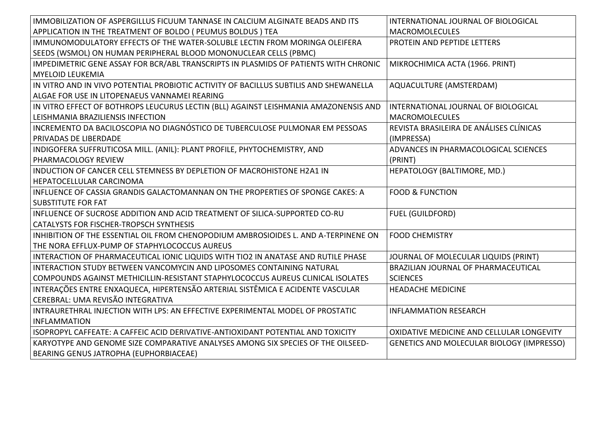| IMMOBILIZATION OF ASPERGILLUS FICUUM TANNASE IN CALCIUM ALGINATE BEADS AND ITS        | INTERNATIONAL JOURNAL OF BIOLOGICAL              |
|---------------------------------------------------------------------------------------|--------------------------------------------------|
| APPLICATION IN THE TREATMENT OF BOLDO (PEUMUS BOLDUS) TEA                             | <b>MACROMOLECULES</b>                            |
| IMMUNOMODULATORY EFFECTS OF THE WATER-SOLUBLE LECTIN FROM MORINGA OLEIFERA            | PROTEIN AND PEPTIDE LETTERS                      |
| SEEDS (WSMOL) ON HUMAN PERIPHERAL BLOOD MONONUCLEAR CELLS (PBMC)                      |                                                  |
| IMPEDIMETRIC GENE ASSAY FOR BCR/ABL TRANSCRIPTS IN PLASMIDS OF PATIENTS WITH CHRONIC  | MIKROCHIMICA ACTA (1966. PRINT)                  |
| <b>MYELOID LEUKEMIA</b>                                                               |                                                  |
| IN VITRO AND IN VIVO POTENTIAL PROBIOTIC ACTIVITY OF BACILLUS SUBTILIS AND SHEWANELLA | AQUACULTURE (AMSTERDAM)                          |
| ALGAE FOR USE IN LITOPENAEUS VANNAMEI REARING                                         |                                                  |
| IN VITRO EFFECT OF BOTHROPS LEUCURUS LECTIN (BLL) AGAINST LEISHMANIA AMAZONENSIS AND  | INTERNATIONAL JOURNAL OF BIOLOGICAL              |
| LEISHMANIA BRAZILIENSIS INFECTION                                                     | <b>MACROMOLECULES</b>                            |
| INCREMENTO DA BACILOSCOPIA NO DIAGNÓSTICO DE TUBERCULOSE PULMONAR EM PESSOAS          | REVISTA BRASILEIRA DE ANÁLISES CLÍNICAS          |
| <b>PRIVADAS DE LIBERDADE</b>                                                          | (IMPRESSA)                                       |
| INDIGOFERA SUFFRUTICOSA MILL. (ANIL): PLANT PROFILE, PHYTOCHEMISTRY, AND              | ADVANCES IN PHARMACOLOGICAL SCIENCES             |
| <b>PHARMACOLOGY REVIEW</b>                                                            | (PRINT)                                          |
| INDUCTION OF CANCER CELL STEMNESS BY DEPLETION OF MACROHISTONE H2A1 IN                | HEPATOLOGY (BALTIMORE, MD.)                      |
| HEPATOCELLULAR CARCINOMA                                                              |                                                  |
| INFLUENCE OF CASSIA GRANDIS GALACTOMANNAN ON THE PROPERTIES OF SPONGE CAKES: A        | <b>FOOD &amp; FUNCTION</b>                       |
| <b>SUBSTITUTE FOR FAT</b>                                                             |                                                  |
| INFLUENCE OF SUCROSE ADDITION AND ACID TREATMENT OF SILICA-SUPPORTED CO-RU            | <b>FUEL (GUILDFORD)</b>                          |
| <b>CATALYSTS FOR FISCHER-TROPSCH SYNTHESIS</b>                                        |                                                  |
| INHIBITION OF THE ESSENTIAL OIL FROM CHENOPODIUM AMBROSIOIDES L. AND A-TERPINENE ON   | <b>FOOD CHEMISTRY</b>                            |
| THE NORA EFFLUX-PUMP OF STAPHYLOCOCCUS AUREUS                                         |                                                  |
| INTERACTION OF PHARMACEUTICAL IONIC LIQUIDS WITH TIO2 IN ANATASE AND RUTILE PHASE     | JOURNAL OF MOLECULAR LIQUIDS (PRINT)             |
| INTERACTION STUDY BETWEEN VANCOMYCIN AND LIPOSOMES CONTAINING NATURAL                 | BRAZILIAN JOURNAL OF PHARMACEUTICAL              |
| COMPOUNDS AGAINST METHICILLIN-RESISTANT STAPHYLOCOCCUS AUREUS CLINICAL ISOLATES       | <b>SCIENCES</b>                                  |
| INTERAÇÕES ENTRE ENXAQUECA, HIPERTENSÃO ARTERIAL SISTÊMICA E ACIDENTE VASCULAR        | <b>HEADACHE MEDICINE</b>                         |
| CEREBRAL: UMA REVISÃO INTEGRATIVA                                                     |                                                  |
| INTRAURETHRAL INJECTION WITH LPS: AN EFFECTIVE EXPERIMENTAL MODEL OF PROSTATIC        | <b>INFLAMMATION RESEARCH</b>                     |
| INFLAMMATION                                                                          |                                                  |
| ISOPROPYL CAFFEATE: A CAFFEIC ACID DERIVATIVE-ANTIOXIDANT POTENTIAL AND TOXICITY      | OXIDATIVE MEDICINE AND CELLULAR LONGEVITY        |
| KARYOTYPE AND GENOME SIZE COMPARATIVE ANALYSES AMONG SIX SPECIES OF THE OILSEED-      | <b>GENETICS AND MOLECULAR BIOLOGY (IMPRESSO)</b> |
| BEARING GENUS JATROPHA (EUPHORBIACEAE)                                                |                                                  |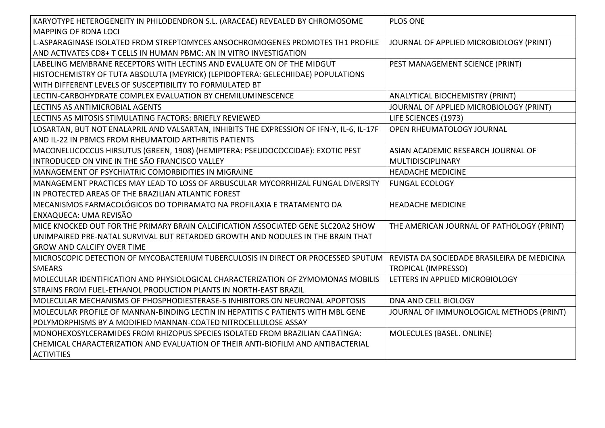| KARYOTYPE HETEROGENEITY IN PHILODENDRON S.L. (ARACEAE) REVEALED BY CHROMOSOME             | PLOS ONE                                    |
|-------------------------------------------------------------------------------------------|---------------------------------------------|
| MAPPING OF RDNA LOCI                                                                      |                                             |
| L-ASPARAGINASE ISOLATED FROM STREPTOMYCES ANSOCHROMOGENES PROMOTES TH1 PROFILE            | JOURNAL OF APPLIED MICROBIOLOGY (PRINT)     |
| AND ACTIVATES CD8+ T CELLS IN HUMAN PBMC: AN IN VITRO INVESTIGATION                       |                                             |
| LABELING MEMBRANE RECEPTORS WITH LECTINS AND EVALUATE ON OF THE MIDGUT                    | PEST MANAGEMENT SCIENCE (PRINT)             |
| HISTOCHEMISTRY OF TUTA ABSOLUTA (MEYRICK) (LEPIDOPTERA: GELECHIIDAE) POPULATIONS          |                                             |
| WITH DIFFERENT LEVELS OF SUSCEPTIBILITY TO FORMULATED BT                                  |                                             |
| LECTIN-CARBOHYDRATE COMPLEX EVALUATION BY CHEMILUMINESCENCE                               | ANALYTICAL BIOCHEMISTRY (PRINT)             |
| LECTINS AS ANTIMICROBIAL AGENTS                                                           | JOURNAL OF APPLIED MICROBIOLOGY (PRINT)     |
| LECTINS AS MITOSIS STIMULATING FACTORS: BRIEFLY REVIEWED                                  | LIFE SCIENCES (1973)                        |
| LOSARTAN, BUT NOT ENALAPRIL AND VALSARTAN, INHIBITS THE EXPRESSION OF IFN-Y, IL-6, IL-17F | OPEN RHEUMATOLOGY JOURNAL                   |
| AND IL-22 IN PBMCS FROM RHEUMATOID ARTHRITIS PATIENTS                                     |                                             |
| MACONELLICOCCUS HIRSUTUS (GREEN, 1908) (HEMIPTERA: PSEUDOCOCCIDAE): EXOTIC PEST           | ASIAN ACADEMIC RESEARCH JOURNAL OF          |
| INTRODUCED ON VINE IN THE SÃO FRANCISCO VALLEY                                            | MULTIDISCIPLINARY                           |
| MANAGEMENT OF PSYCHIATRIC COMORBIDITIES IN MIGRAINE                                       | <b>HEADACHE MEDICINE</b>                    |
| MANAGEMENT PRACTICES MAY LEAD TO LOSS OF ARBUSCULAR MYCORRHIZAL FUNGAL DIVERSITY          | <b>FUNGAL ECOLOGY</b>                       |
| IN PROTECTED AREAS OF THE BRAZILIAN ATLANTIC FOREST                                       |                                             |
| MECANISMOS FARMACOLÓGICOS DO TOPIRAMATO NA PROFILAXIA E TRATAMENTO DA                     | <b>HEADACHE MEDICINE</b>                    |
| <b>ENXAQUECA: UMA REVISÃO</b>                                                             |                                             |
| MICE KNOCKED OUT FOR THE PRIMARY BRAIN CALCIFICATION ASSOCIATED GENE SLC20A2 SHOW         | THE AMERICAN JOURNAL OF PATHOLOGY (PRINT)   |
| UNIMPAIRED PRE-NATAL SURVIVAL BUT RETARDED GROWTH AND NODULES IN THE BRAIN THAT           |                                             |
| <b>GROW AND CALCIFY OVER TIME</b>                                                         |                                             |
| MICROSCOPIC DETECTION OF MYCOBACTERIUM TUBERCULOSIS IN DIRECT OR PROCESSED SPUTUM         | REVISTA DA SOCIEDADE BRASILEIRA DE MEDICINA |
| <b>SMEARS</b>                                                                             | <b>TROPICAL (IMPRESSO)</b>                  |
| MOLECULAR IDENTIFICATION AND PHYSIOLOGICAL CHARACTERIZATION OF ZYMOMONAS MOBILIS          | LETTERS IN APPLIED MICROBIOLOGY             |
| STRAINS FROM FUEL-ETHANOL PRODUCTION PLANTS IN NORTH-EAST BRAZIL                          |                                             |
| MOLECULAR MECHANISMS OF PHOSPHODIESTERASE-5 INHIBITORS ON NEURONAL APOPTOSIS              | DNA AND CELL BIOLOGY                        |
| MOLECULAR PROFILE OF MANNAN-BINDING LECTIN IN HEPATITIS C PATIENTS WITH MBL GENE          | JOURNAL OF IMMUNOLOGICAL METHODS (PRINT)    |
| POLYMORPHISMS BY A MODIFIED MANNAN-COATED NITROCELLULOSE ASSAY                            |                                             |
| MONOHEXOSYLCERAMIDES FROM RHIZOPUS SPECIES ISOLATED FROM BRAZILIAN CAATINGA:              | MOLECULES (BASEL. ONLINE)                   |
| CHEMICAL CHARACTERIZATION AND EVALUATION OF THEIR ANTI-BIOFILM AND ANTIBACTERIAL          |                                             |
| <b>ACTIVITIES</b>                                                                         |                                             |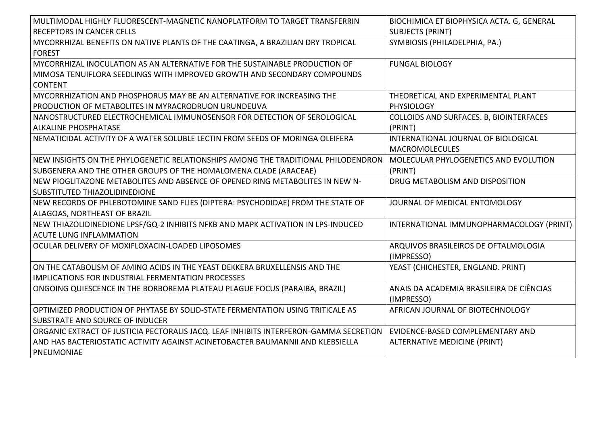| MULTIMODAL HIGHLY FLUORESCENT-MAGNETIC NANOPLATFORM TO TARGET TRANSFERRIN             | BIOCHIMICA ET BIOPHYSICA ACTA. G, GENERAL |
|---------------------------------------------------------------------------------------|-------------------------------------------|
| RECEPTORS IN CANCER CELLS                                                             | <b>SUBJECTS (PRINT)</b>                   |
| MYCORRHIZAL BENEFITS ON NATIVE PLANTS OF THE CAATINGA, A BRAZILIAN DRY TROPICAL       | SYMBIOSIS (PHILADELPHIA, PA.)             |
| <b>FOREST</b>                                                                         |                                           |
| MYCORRHIZAL INOCULATION AS AN ALTERNATIVE FOR THE SUSTAINABLE PRODUCTION OF           | <b>FUNGAL BIOLOGY</b>                     |
| MIMOSA TENUIFLORA SEEDLINGS WITH IMPROVED GROWTH AND SECONDARY COMPOUNDS              |                                           |
| <b>CONTENT</b>                                                                        |                                           |
| MYCORRHIZATION AND PHOSPHORUS MAY BE AN ALTERNATIVE FOR INCREASING THE                | THEORETICAL AND EXPERIMENTAL PLANT        |
| PRODUCTION OF METABOLITES IN MYRACRODRUON URUNDEUVA                                   | <b>PHYSIOLOGY</b>                         |
| NANOSTRUCTURED ELECTROCHEMICAL IMMUNOSENSOR FOR DETECTION OF SEROLOGICAL              | COLLOIDS AND SURFACES. B, BIOINTERFACES   |
| <b>ALKALINE PHOSPHATASE</b>                                                           | (PRINT)                                   |
| NEMATICIDAL ACTIVITY OF A WATER SOLUBLE LECTIN FROM SEEDS OF MORINGA OLEIFERA         | INTERNATIONAL JOURNAL OF BIOLOGICAL       |
|                                                                                       | <b>MACROMOLECULES</b>                     |
| NEW INSIGHTS ON THE PHYLOGENETIC RELATIONSHIPS AMONG THE TRADITIONAL PHILODENDRON     | MOLECULAR PHYLOGENETICS AND EVOLUTION     |
| SUBGENERA AND THE OTHER GROUPS OF THE HOMALOMENA CLADE (ARACEAE)                      | (PRINT)                                   |
| NEW PIOGLITAZONE METABOLITES AND ABSENCE OF OPENED RING METABOLITES IN NEW N-         | DRUG METABOLISM AND DISPOSITION           |
| SUBSTITUTED THIAZOLIDINEDIONE                                                         |                                           |
| NEW RECORDS OF PHLEBOTOMINE SAND FLIES (DIPTERA: PSYCHODIDAE) FROM THE STATE OF       | JOURNAL OF MEDICAL ENTOMOLOGY             |
| ALAGOAS, NORTHEAST OF BRAZIL                                                          |                                           |
| NEW THIAZOLIDINEDIONE LPSF/GQ-2 INHIBITS NFKB AND MAPK ACTIVATION IN LPS-INDUCED      | INTERNATIONAL IMMUNOPHARMACOLOGY (PRINT)  |
| <b>ACUTE LUNG INFLAMMATION</b>                                                        |                                           |
| OCULAR DELIVERY OF MOXIFLOXACIN-LOADED LIPOSOMES                                      | ARQUIVOS BRASILEIROS DE OFTALMOLOGIA      |
|                                                                                       | (IMPRESSO)                                |
| ON THE CATABOLISM OF AMINO ACIDS IN THE YEAST DEKKERA BRUXELLENSIS AND THE            | YEAST (CHICHESTER, ENGLAND. PRINT)        |
| <b>IMPLICATIONS FOR INDUSTRIAL FERMENTATION PROCESSES</b>                             |                                           |
| ONGOING QUIESCENCE IN THE BORBOREMA PLATEAU PLAGUE FOCUS (PARAIBA, BRAZIL)            | ANAIS DA ACADEMIA BRASILEIRA DE CIÊNCIAS  |
|                                                                                       | (IMPRESSO)                                |
| OPTIMIZED PRODUCTION OF PHYTASE BY SOLID-STATE FERMENTATION USING TRITICALE AS        | AFRICAN JOURNAL OF BIOTECHNOLOGY          |
| SUBSTRATE AND SOURCE OF INDUCER                                                       |                                           |
| ORGANIC EXTRACT OF JUSTICIA PECTORALIS JACQ. LEAF INHIBITS INTERFERON-GAMMA SECRETION | EVIDENCE-BASED COMPLEMENTARY AND          |
| AND HAS BACTERIOSTATIC ACTIVITY AGAINST ACINETOBACTER BAUMANNII AND KLEBSIELLA        | ALTERNATIVE MEDICINE (PRINT)              |
| PNEUMONIAE                                                                            |                                           |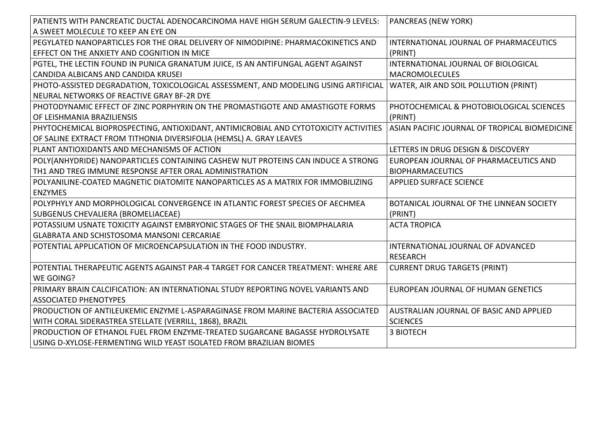| PATIENTS WITH PANCREATIC DUCTAL ADENOCARCINOMA HAVE HIGH SERUM GALECTIN-9 LEVELS:                                         | <b>PANCREAS (NEW YORK)</b>                    |
|---------------------------------------------------------------------------------------------------------------------------|-----------------------------------------------|
| A SWEET MOLECULE TO KEEP AN EYE ON                                                                                        |                                               |
| PEGYLATED NANOPARTICLES FOR THE ORAL DELIVERY OF NIMODIPINE: PHARMACOKINETICS AND                                         | INTERNATIONAL JOURNAL OF PHARMACEUTICS        |
| EFFECT ON THE ANXIETY AND COGNITION IN MICE                                                                               | (PRINT)                                       |
| PGTEL, THE LECTIN FOUND IN PUNICA GRANATUM JUICE, IS AN ANTIFUNGAL AGENT AGAINST                                          | INTERNATIONAL JOURNAL OF BIOLOGICAL           |
| CANDIDA ALBICANS AND CANDIDA KRUSEI                                                                                       | <b>MACROMOLECULES</b>                         |
| PHOTO-ASSISTED DEGRADATION, TOXICOLOGICAL ASSESSMENT, AND MODELING USING ARTIFICIAL WATER, AIR AND SOIL POLLUTION (PRINT) |                                               |
| NEURAL NETWORKS OF REACTIVE GRAY BF-2R DYE                                                                                |                                               |
| PHOTODYNAMIC EFFECT OF ZINC PORPHYRIN ON THE PROMASTIGOTE AND AMASTIGOTE FORMS                                            | PHOTOCHEMICAL & PHOTOBIOLOGICAL SCIENCES      |
| OF LEISHMANIA BRAZILIENSIS                                                                                                | (PRINT)                                       |
| PHYTOCHEMICAL BIOPROSPECTING, ANTIOXIDANT, ANTIMICROBIAL AND CYTOTOXICITY ACTIVITIES                                      | ASIAN PACIFIC JOURNAL OF TROPICAL BIOMEDICINE |
| OF SALINE EXTRACT FROM TITHONIA DIVERSIFOLIA (HEMSL) A. GRAY LEAVES                                                       |                                               |
| PLANT ANTIOXIDANTS AND MECHANISMS OF ACTION                                                                               | LETTERS IN DRUG DESIGN & DISCOVERY            |
| POLY(ANHYDRIDE) NANOPARTICLES CONTAINING CASHEW NUT PROTEINS CAN INDUCE A STRONG                                          | EUROPEAN JOURNAL OF PHARMACEUTICS AND         |
| TH1 AND TREG IMMUNE RESPONSE AFTER ORAL ADMINISTRATION                                                                    | <b>BIOPHARMACEUTICS</b>                       |
| POLYANILINE-COATED MAGNETIC DIATOMITE NANOPARTICLES AS A MATRIX FOR IMMOBILIZING                                          | <b>APPLIED SURFACE SCIENCE</b>                |
| <b>ENZYMES</b>                                                                                                            |                                               |
| POLYPHYLY AND MORPHOLOGICAL CONVERGENCE IN ATLANTIC FOREST SPECIES OF AECHMEA                                             | BOTANICAL JOURNAL OF THE LINNEAN SOCIETY      |
| SUBGENUS CHEVALIERA (BROMELIACEAE)                                                                                        | (PRINT)                                       |
| POTASSIUM USNATE TOXICITY AGAINST EMBRYONIC STAGES OF THE SNAIL BIOMPHALARIA                                              | <b>ACTA TROPICA</b>                           |
| GLABRATA AND SCHISTOSOMA MANSONI CERCARIAE                                                                                |                                               |
| POTENTIAL APPLICATION OF MICROENCAPSULATION IN THE FOOD INDUSTRY.                                                         | INTERNATIONAL JOURNAL OF ADVANCED             |
|                                                                                                                           | <b>RESEARCH</b>                               |
| POTENTIAL THERAPEUTIC AGENTS AGAINST PAR-4 TARGET FOR CANCER TREATMENT: WHERE ARE                                         | <b>CURRENT DRUG TARGETS (PRINT)</b>           |
| WE GOING?                                                                                                                 |                                               |
| PRIMARY BRAIN CALCIFICATION: AN INTERNATIONAL STUDY REPORTING NOVEL VARIANTS AND                                          | EUROPEAN JOURNAL OF HUMAN GENETICS            |
| <b>ASSOCIATED PHENOTYPES</b>                                                                                              |                                               |
| PRODUCTION OF ANTILEUKEMIC ENZYME L-ASPARAGINASE FROM MARINE BACTERIA ASSOCIATED                                          | AUSTRALIAN JOURNAL OF BASIC AND APPLIED       |
| WITH CORAL SIDERASTREA STELLATE (VERRILL, 1868), BRAZIL                                                                   | <b>SCIENCES</b>                               |
| PRODUCTION OF ETHANOL FUEL FROM ENZYME-TREATED SUGARCANE BAGASSE HYDROLYSATE                                              | <b>3 BIOTECH</b>                              |
| USING D-XYLOSE-FERMENTING WILD YEAST ISOLATED FROM BRAZILIAN BIOMES                                                       |                                               |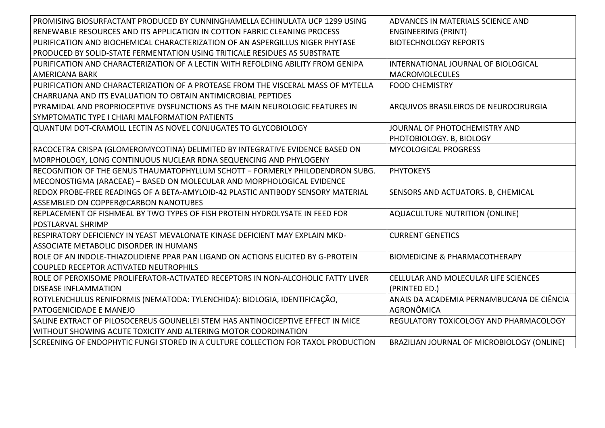| PROMISING BIOSURFACTANT PRODUCED BY CUNNINGHAMELLA ECHINULATA UCP 1299 USING      | ADVANCES IN MATERIALS SCIENCE AND          |
|-----------------------------------------------------------------------------------|--------------------------------------------|
| RENEWABLE RESOURCES AND ITS APPLICATION IN COTTON FABRIC CLEANING PROCESS         | <b>ENGINEERING (PRINT)</b>                 |
| PURIFICATION AND BIOCHEMICAL CHARACTERIZATION OF AN ASPERGILLUS NIGER PHYTASE     | <b>BIOTECHNOLOGY REPORTS</b>               |
| PRODUCED BY SOLID-STATE FERMENTATION USING TRITICALE RESIDUES AS SUBSTRATE        |                                            |
| PURIFICATION AND CHARACTERIZATION OF A LECTIN WITH REFOLDING ABILITY FROM GENIPA  | INTERNATIONAL JOURNAL OF BIOLOGICAL        |
| AMERICANA BARK                                                                    | <b>MACROMOLECULES</b>                      |
| PURIFICATION AND CHARACTERIZATION OF A PROTEASE FROM THE VISCERAL MASS OF MYTELLA | <b>FOOD CHEMISTRY</b>                      |
| CHARRUANA AND ITS EVALUATION TO OBTAIN ANTIMICROBIAL PEPTIDES                     |                                            |
| PYRAMIDAL AND PROPRIOCEPTIVE DYSFUNCTIONS AS THE MAIN NEUROLOGIC FEATURES IN      | ARQUIVOS BRASILEIROS DE NEUROCIRURGIA      |
| SYMPTOMATIC TYPE I CHIARI MALFORMATION PATIENTS                                   |                                            |
| QUANTUM DOT-CRAMOLL LECTIN AS NOVEL CONJUGATES TO GLYCOBIOLOGY                    | JOURNAL OF PHOTOCHEMISTRY AND              |
|                                                                                   | PHOTOBIOLOGY. B, BIOLOGY                   |
| RACOCETRA CRISPA (GLOMEROMYCOTINA) DELIMITED BY INTEGRATIVE EVIDENCE BASED ON     | <b>MYCOLOGICAL PROGRESS</b>                |
| MORPHOLOGY, LONG CONTINUOUS NUCLEAR RDNA SEQUENCING AND PHYLOGENY                 |                                            |
| RECOGNITION OF THE GENUS THAUMATOPHYLLUM SCHOTT - FORMERLY PHILODENDRON SUBG.     | <b>PHYTOKEYS</b>                           |
| MECONOSTIGMA (ARACEAE) - BASED ON MOLECULAR AND MORPHOLOGICAL EVIDENCE            |                                            |
| REDOX PROBE-FREE READINGS OF A BETA-AMYLOID-42 PLASTIC ANTIBODY SENSORY MATERIAL  | SENSORS AND ACTUATORS. B, CHEMICAL         |
| ASSEMBLED ON COPPER@CARBON NANOTUBES                                              |                                            |
| REPLACEMENT OF FISHMEAL BY TWO TYPES OF FISH PROTEIN HYDROLYSATE IN FEED FOR      | <b>AQUACULTURE NUTRITION (ONLINE)</b>      |
| <b>POSTLARVAL SHRIMP</b>                                                          |                                            |
| RESPIRATORY DEFICIENCY IN YEAST MEVALONATE KINASE DEFICIENT MAY EXPLAIN MKD-      | <b>CURRENT GENETICS</b>                    |
| ASSOCIATE METABOLIC DISORDER IN HUMANS                                            |                                            |
| ROLE OF AN INDOLE-THIAZOLIDIENE PPAR PAN LIGAND ON ACTIONS ELICITED BY G-PROTEIN  | <b>BIOMEDICINE &amp; PHARMACOTHERAPY</b>   |
| COUPLED RECEPTOR ACTIVATED NEUTROPHILS                                            |                                            |
| ROLE OF PEROXISOME PROLIFERATOR-ACTIVATED RECEPTORS IN NON-ALCOHOLIC FATTY LIVER  | CELLULAR AND MOLECULAR LIFE SCIENCES       |
| <b>DISEASE INFLAMMATION</b>                                                       | (PRINTED ED.)                              |
| ROTYLENCHULUS RENIFORMIS (NEMATODA: TYLENCHIDA): BIOLOGIA, IDENTIFICAÇÃO,         | ANAIS DA ACADEMIA PERNAMBUCANA DE CIÊNCIA  |
| PATOGENICIDADE E MANEJO                                                           | AGRONÔMICA                                 |
| SALINE EXTRACT OF PILOSOCEREUS GOUNELLEI STEM HAS ANTINOCICEPTIVE EFFECT IN MICE  | REGULATORY TOXICOLOGY AND PHARMACOLOGY     |
| WITHOUT SHOWING ACUTE TOXICITY AND ALTERING MOTOR COORDINATION                    |                                            |
| SCREENING OF ENDOPHYTIC FUNGI STORED IN A CULTURE COLLECTION FOR TAXOL PRODUCTION | BRAZILIAN JOURNAL OF MICROBIOLOGY (ONLINE) |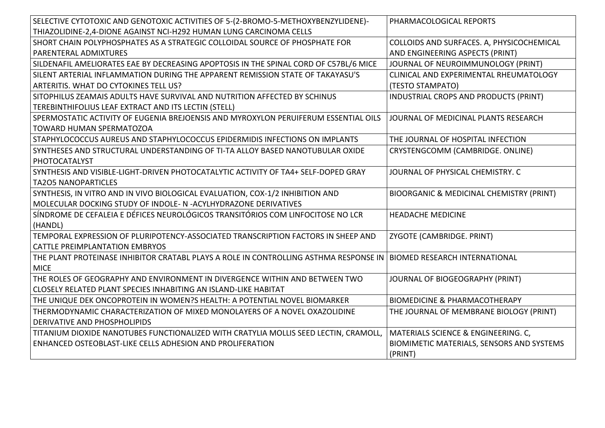| SELECTIVE CYTOTOXIC AND GENOTOXIC ACTIVITIES OF 5-(2-BROMO-5-METHOXYBENZYLIDENE)-                                    | PHARMACOLOGICAL REPORTS                   |
|----------------------------------------------------------------------------------------------------------------------|-------------------------------------------|
| THIAZOLIDINE-2,4-DIONE AGAINST NCI-H292 HUMAN LUNG CARCINOMA CELLS                                                   |                                           |
| SHORT CHAIN POLYPHOSPHATES AS A STRATEGIC COLLOIDAL SOURCE OF PHOSPHATE FOR                                          | COLLOIDS AND SURFACES. A, PHYSICOCHEMICAL |
| PARENTERAL ADMIXTURES                                                                                                | AND ENGINEERING ASPECTS (PRINT)           |
| SILDENAFIL AMELIORATES EAE BY DECREASING APOPTOSIS IN THE SPINAL CORD OF C57BL/6 MICE                                | JOURNAL OF NEUROIMMUNOLOGY (PRINT)        |
| SILENT ARTERIAL INFLAMMATION DURING THE APPARENT REMISSION STATE OF TAKAYASU'S                                       | CLINICAL AND EXPERIMENTAL RHEUMATOLOGY    |
| ARTERITIS. WHAT DO CYTOKINES TELL US?                                                                                | (TESTO STAMPATO)                          |
| SITOPHILUS ZEAMAIS ADULTS HAVE SURVIVAL AND NUTRITION AFFECTED BY SCHINUS                                            | INDUSTRIAL CROPS AND PRODUCTS (PRINT)     |
| TEREBINTHIFOLIUS LEAF EXTRACT AND ITS LECTIN (STELL)                                                                 |                                           |
| SPERMOSTATIC ACTIVITY OF EUGENIA BREJOENSIS AND MYROXYLON PERUIFERUM ESSENTIAL OILS                                  | JOURNAL OF MEDICINAL PLANTS RESEARCH      |
| <b>TOWARD HUMAN SPERMATOZOA</b>                                                                                      |                                           |
| STAPHYLOCOCCUS AUREUS AND STAPHYLOCOCCUS EPIDERMIDIS INFECTIONS ON IMPLANTS                                          | THE JOURNAL OF HOSPITAL INFECTION         |
| SYNTHESES AND STRUCTURAL UNDERSTANDING OF TI-TA ALLOY BASED NANOTUBULAR OXIDE                                        | CRYSTENGCOMM (CAMBRIDGE. ONLINE)          |
| PHOTOCATALYST                                                                                                        |                                           |
| SYNTHESIS AND VISIBLE-LIGHT-DRIVEN PHOTOCATALYTIC ACTIVITY OF TA4+ SELF-DOPED GRAY                                   | JOURNAL OF PHYSICAL CHEMISTRY. C          |
| <b>TA2O5 NANOPARTICLES</b>                                                                                           |                                           |
| SYNTHESIS, IN VITRO AND IN VIVO BIOLOGICAL EVALUATION, COX-1/2 INHIBITION AND                                        | BIOORGANIC & MEDICINAL CHEMISTRY (PRINT)  |
| MOLECULAR DOCKING STUDY OF INDOLE- N -ACYLHYDRAZONE DERIVATIVES                                                      |                                           |
| SÍNDROME DE CEFALEIA E DÉFICES NEUROLÓGICOS TRANSITÓRIOS COM LINFOCITOSE NO LCR                                      | <b>HEADACHE MEDICINE</b>                  |
| (HANDL)                                                                                                              |                                           |
| TEMPORAL EXPRESSION OF PLURIPOTENCY-ASSOCIATED TRANSCRIPTION FACTORS IN SHEEP AND                                    | ZYGOTE (CAMBRIDGE. PRINT)                 |
| <b>CATTLE PREIMPLANTATION EMBRYOS</b>                                                                                |                                           |
| THE PLANT PROTEINASE INHIBITOR CRATABL PLAYS A ROLE IN CONTROLLING ASTHMA RESPONSE IN  BIOMED RESEARCH INTERNATIONAL |                                           |
| <b>MICE</b>                                                                                                          |                                           |
| THE ROLES OF GEOGRAPHY AND ENVIRONMENT IN DIVERGENCE WITHIN AND BETWEEN TWO                                          | JOURNAL OF BIOGEOGRAPHY (PRINT)           |
| CLOSELY RELATED PLANT SPECIES INHABITING AN ISLAND-LIKE HABITAT                                                      |                                           |
| THE UNIQUE DEK ONCOPROTEIN IN WOMEN?S HEALTH: A POTENTIAL NOVEL BIOMARKER                                            | <b>BIOMEDICINE &amp; PHARMACOTHERAPY</b>  |
| THERMODYNAMIC CHARACTERIZATION OF MIXED MONOLAYERS OF A NOVEL OXAZOLIDINE                                            | THE JOURNAL OF MEMBRANE BIOLOGY (PRINT)   |
| DERIVATIVE AND PHOSPHOLIPIDS                                                                                         |                                           |
| TITANIUM DIOXIDE NANOTUBES FUNCTIONALIZED WITH CRATYLIA MOLLIS SEED LECTIN, CRAMOLL,                                 | MATERIALS SCIENCE & ENGINEERING. C,       |
| ENHANCED OSTEOBLAST-LIKE CELLS ADHESION AND PROLIFERATION                                                            | BIOMIMETIC MATERIALS, SENSORS AND SYSTEMS |
|                                                                                                                      | (PRINT)                                   |